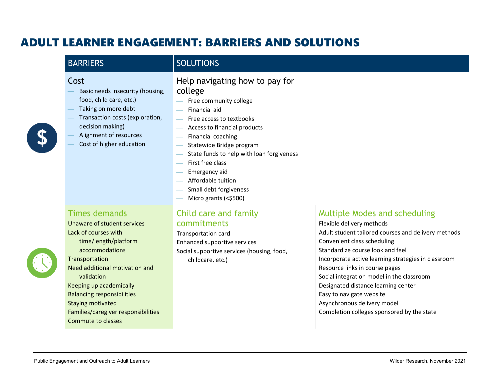# ADULT LEARNER ENGAGEMENT: BARRIERS AND SOLUTIONS

| <b>BARRIERS</b>                                                                                                                                                                                         | <b>SOLUTIONS</b>                                                                                                                                                                                                                                                                                                                                              |                                                                                                                                                                                                                                                                               |
|---------------------------------------------------------------------------------------------------------------------------------------------------------------------------------------------------------|---------------------------------------------------------------------------------------------------------------------------------------------------------------------------------------------------------------------------------------------------------------------------------------------------------------------------------------------------------------|-------------------------------------------------------------------------------------------------------------------------------------------------------------------------------------------------------------------------------------------------------------------------------|
| Cost<br>Basic needs insecurity (housing,<br>food, child care, etc.)<br>Taking on more debt<br>Transaction costs (exploration,<br>decision making)<br>Alignment of resources<br>Cost of higher education | Help navigating how to pay for<br>college<br>Free community college<br>Financial aid<br>Free access to textbooks<br>Access to financial products<br>Financial coaching<br>Statewide Bridge program<br>State funds to help with loan forgiveness<br>First free class<br>Emergency aid<br>Affordable tuition<br>Small debt forgiveness<br>Micro grants (<\$500) |                                                                                                                                                                                                                                                                               |
| <b>Times demands</b><br>Unaware of student services<br>Lack of courses with<br>time/length/platform<br>accommodations<br>Transportation<br>Need additional motivation and                               | Child care and family<br>commitments<br>Transportation card<br>Enhanced supportive services<br>Social supportive services (housing, food,<br>childcare, etc.)                                                                                                                                                                                                 | Multiple Modes and scheduling<br>Flexible delivery methods<br>Adult student tailored courses and delivery methods<br>Convenient class scheduling<br>Standardize course look and feel<br>Incorporate active learning strategies in classroom<br>Resource links in course pages |



validation Keeping up academically Balancing responsibilities

Staying motivated

Commute to classes

Families/caregiver responsibilities

Social integration model in the classroom Designated distance learning center

Completion colleges sponsored by the state

Easy to navigate website Asynchronous delivery model